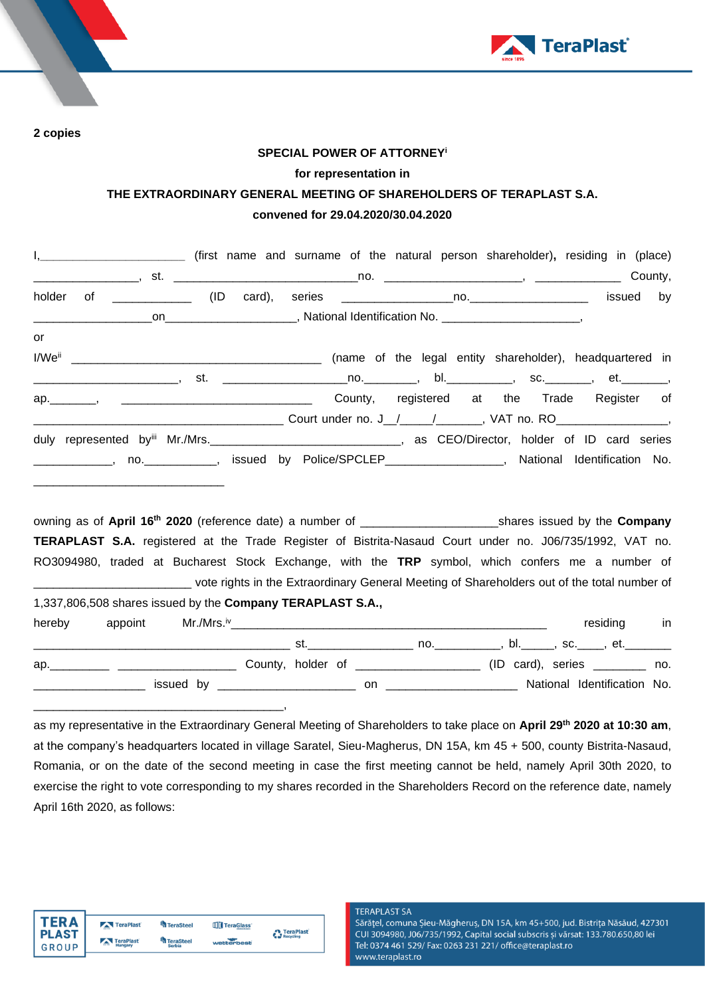

**2 copies**

## **SPECIAL POWER OF ATTORNEY<sup>i</sup> for representation in THE EXTRAORDINARY GENERAL MEETING OF SHAREHOLDERS OF TERAPLAST S.A. convened for 29.04.2020/30.04.2020**

|                    | I, ____________________________ (first name and surname of the natural person shareholder), residing in (place)                                                                                                               |  |             |    |
|--------------------|-------------------------------------------------------------------------------------------------------------------------------------------------------------------------------------------------------------------------------|--|-------------|----|
|                    |                                                                                                                                                                                                                               |  |             |    |
| holder             |                                                                                                                                                                                                                               |  | issued      | by |
|                    |                                                                                                                                                                                                                               |  |             |    |
| or                 |                                                                                                                                                                                                                               |  |             |    |
| I/We <sup>ii</sup> | (name of the legal entity shareholder), headquartered in                                                                                                                                                                      |  |             |    |
|                    |                                                                                                                                                                                                                               |  |             |    |
|                    | ap. , , , , , , , , , , , County, registered at the Trade Register of                                                                                                                                                         |  |             |    |
|                    |                                                                                                                                                                                                                               |  |             |    |
|                    |                                                                                                                                                                                                                               |  |             |    |
|                    | _____________, no. ____________, issued by Police/SPCLEP__________________, National Identification No.                                                                                                                       |  |             |    |
|                    | <b>TERAPLAST S.A.</b> registered at the Trade Register of Bistrita-Nasaud Court under no. J06/735/1992, VAT no.                                                                                                               |  |             |    |
|                    | RO3094980, traded at Bucharest Stock Exchange, with the TRP symbol, which confers me a number of                                                                                                                              |  |             |    |
|                    | _________________________________ vote rights in the Extraordinary General Meeting of Shareholders out of the total number of                                                                                                 |  |             |    |
|                    | 1,337,806,508 shares issued by the Company TERAPLAST S.A.,                                                                                                                                                                    |  |             |    |
| hereby             |                                                                                                                                                                                                                               |  | residing in |    |
|                    |                                                                                                                                                                                                                               |  |             |    |
|                    | ap. 10. App. 2011 (ID card), series 10. App. 2011 (ID card), series 2012 (ID card), series 2012 (ID card), series 2012 (ID card), series 2012 (ID card), series 2012 (ID card), series 2012 (ID card), series 2012 (ID card), |  |             |    |
|                    |                                                                                                                                                                                                                               |  |             |    |

as my representative in the Extraordinary General Meeting of Shareholders to take place on **April 29 th 2020 at 10:30 am**, at the company's headquarters located in village Saratel, Sieu-Magherus, DN 15A, km 45 + 500, county Bistrita-Nasaud, Romania, or on the date of the second meeting in case the first meeting cannot be held, namely April 30th 2020, to exercise the right to vote corresponding to my shares recorded in the Shareholders Record on the reference date, namely April 16th 2020, as follows:

| <b>TERA</b>  | TeraPlast                 | <b>TeraSteel</b> | TeraGlass  |                                 |
|--------------|---------------------------|------------------|------------|---------------------------------|
| <b>PLAST</b> | TeraPlast                 | TeraSteel        |            | <b>A</b> TeraPlast<br>Recycling |
|              | $\overline{a}$<br>Hungary | <b>Serbia</b>    | wetterbest |                                 |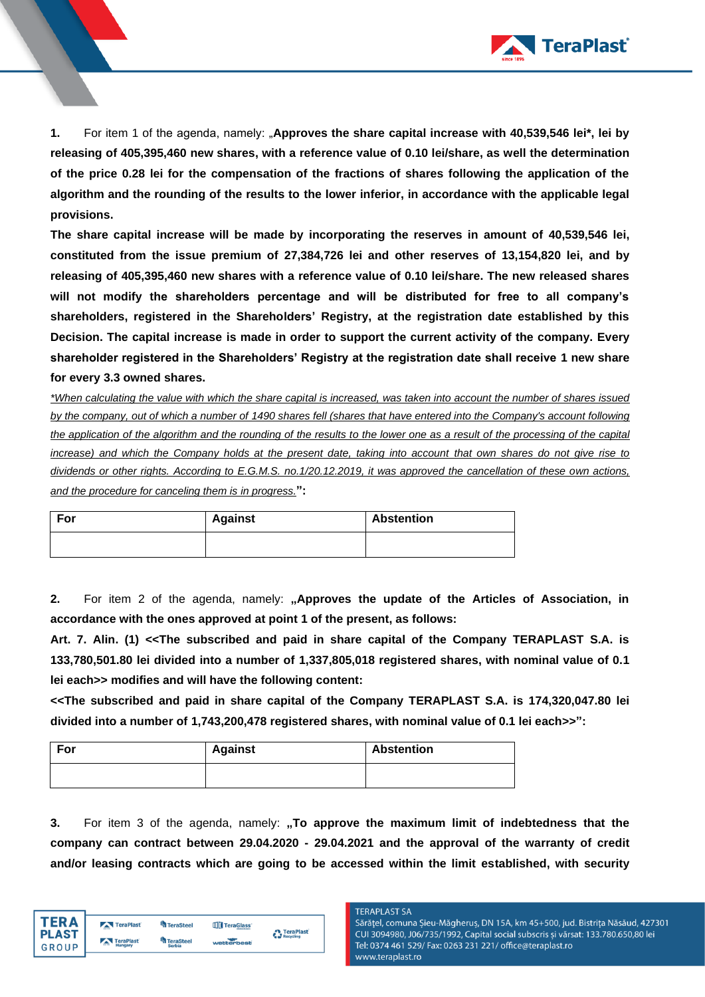

**1.** For item 1 of the agenda, namely: "**Approves the share capital increase with 40,539,546 lei\*, lei by releasing of 405,395,460 new shares, with a reference value of 0.10 lei/share, as well the determination of the price 0.28 lei for the compensation of the fractions of shares following the application of the algorithm and the rounding of the results to the lower inferior, in accordance with the applicable legal provisions.** 

**The share capital increase will be made by incorporating the reserves in amount of 40,539,546 lei, constituted from the issue premium of 27,384,726 lei and other reserves of 13,154,820 lei, and by releasing of 405,395,460 new shares with a reference value of 0.10 lei/share. The new released shares will not modify the shareholders percentage and will be distributed for free to all company's shareholders, registered in the Shareholders' Registry, at the registration date established by this Decision. The capital increase is made in order to support the current activity of the company. Every shareholder registered in the Shareholders' Registry at the registration date shall receive 1 new share for every 3.3 owned shares.**

*\*When calculating the value with which the share capital is increased, was taken into account the number of shares issued by the company, out of which a number of 1490 shares fell (shares that have entered into the Company's account following the application of the algorithm and the rounding of the results to the lower one as a result of the processing of the capital increase) and which the Company holds at the present date, taking into account that own shares do not give rise to dividends or other rights. According to E.G.M.S. no.1/20.12.2019, it was approved the cancellation of these own actions, and the procedure for canceling them is in progress.***":**

| For | <b>Against</b> | <b>Abstention</b> |
|-----|----------------|-------------------|
|     |                |                   |

**2.** For item 2 of the agenda, namely: **"Approves the update of the Articles of Association, in accordance with the ones approved at point 1 of the present, as follows:** 

**Art. 7. Alin. (1) <<The subscribed and paid in share capital of the Company TERAPLAST S.A. is 133,780,501.80 lei divided into a number of 1,337,805,018 registered shares, with nominal value of 0.1 lei each>> modifies and will have the following content:**

**<<The subscribed and paid in share capital of the Company TERAPLAST S.A. is 174,320,047.80 lei divided into a number of 1,743,200,478 registered shares, with nominal value of 0.1 lei each>>":**

| For | <b>Against</b> | <b>Abstention</b> |
|-----|----------------|-------------------|
|     |                |                   |

**3.** For item 3 of the agenda, namely: **"To approve the maximum limit of indebtedness that the company can contract between 29.04.2020 - 29.04.2021 and the approval of the warranty of credit and/or leasing contracts which are going to be accessed within the limit established, with security** 

| TFR A        | TeraPlast                   | <b>TeraSteel</b> | TeraGlass <sup>®</sup> | <b>A</b> TeraPlast |
|--------------|-----------------------------|------------------|------------------------|--------------------|
| <b>PLAST</b> | TeraPlast<br>$\overline{a}$ | TeraSteel        | wetterbest             | Recycling          |
| GROUP        | Hungary                     | <b>Serbia</b>    |                        |                    |

## **TERAPLAST SA**

Sărățel, comuna Șieu-Măgheruș, DN 15A, km 45+500, jud. Bistrița Năsăud, 427301 CUI 3094980, J06/735/1992, Capital social subscris și vărsat: 133.780.650,80 lei Tel: 0374 461 529/ Fax: 0263 231 221/ office@teraplast.ro www.teraplast.ro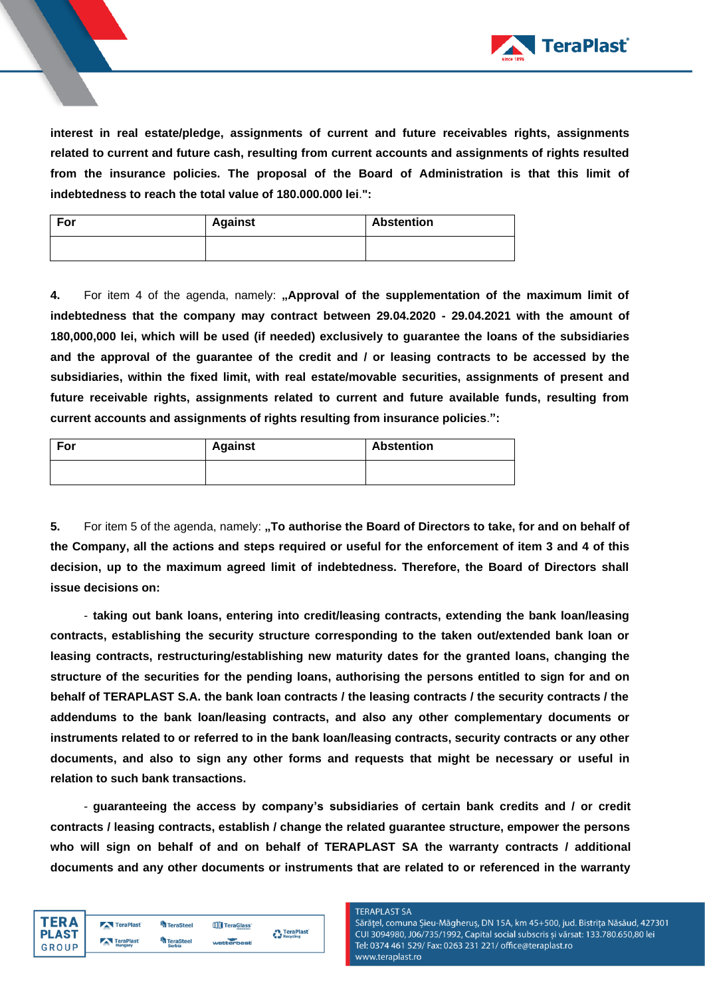

**interest in real estate/pledge, assignments of current and future receivables rights, assignments related to current and future cash, resulting from current accounts and assignments of rights resulted from the insurance policies. The proposal of the Board of Administration is that this limit of indebtedness to reach the total value of 180.000.000 lei**.**":**

| For | <b>Against</b> | <b>Abstention</b> |
|-----|----------------|-------------------|
|     |                |                   |

**4.** For item 4 of the agenda, namely: **"Approval of the supplementation of the maximum limit of indebtedness that the company may contract between 29.04.2020 - 29.04.2021 with the amount of 180,000,000 lei, which will be used (if needed) exclusively to guarantee the loans of the subsidiaries and the approval of the guarantee of the credit and / or leasing contracts to be accessed by the subsidiaries, within the fixed limit, with real estate/movable securities, assignments of present and future receivable rights, assignments related to current and future available funds, resulting from current accounts and assignments of rights resulting from insurance policies**.**":**

| For | <b>Against</b> | <b>Abstention</b> |
|-----|----------------|-------------------|
|     |                |                   |

**5.** For item 5 of the agenda, namely: "To authorise the Board of Directors to take, for and on behalf of **the Company, all the actions and steps required or useful for the enforcement of item 3 and 4 of this decision, up to the maximum agreed limit of indebtedness. Therefore, the Board of Directors shall issue decisions on:** 

- **taking out bank loans, entering into credit/leasing contracts, extending the bank loan/leasing contracts, establishing the security structure corresponding to the taken out/extended bank loan or leasing contracts, restructuring/establishing new maturity dates for the granted loans, changing the structure of the securities for the pending loans, authorising the persons entitled to sign for and on behalf of TERAPLAST S.A. the bank loan contracts / the leasing contracts / the security contracts / the addendums to the bank loan/leasing contracts, and also any other complementary documents or instruments related to or referred to in the bank loan/leasing contracts, security contracts or any other documents, and also to sign any other forms and requests that might be necessary or useful in relation to such bank transactions.**

- **guaranteeing the access by company's subsidiaries of certain bank credits and / or credit contracts / leasing contracts, establish / change the related guarantee structure, empower the persons who will sign on behalf of and on behalf of TERAPLAST SA the warranty contracts / additional documents and any other documents or instruments that are related to or referenced in the warranty** 

| <b>TERA</b>           | TeraPlast            | TeraSteel                  | TeraGlass  | <b>A</b> TeraPlast |
|-----------------------|----------------------|----------------------------|------------|--------------------|
| <b>PLAST</b><br>GROUP | TeraPlast<br>Hungary | TeraSteel<br><b>Serbia</b> | wetterbest | Recycling          |

## **TERAPLAST SA**

Sărățel, comuna Șieu-Măgheruș, DN 15A, km 45+500, jud. Bistrița Năsăud, 427301 CUI 3094980, J06/735/1992, Capital social subscris și vărsat: 133.780.650,80 lei Tel: 0374 461 529/ Fax: 0263 231 221/ office@teraplast.ro www.teraplast.ro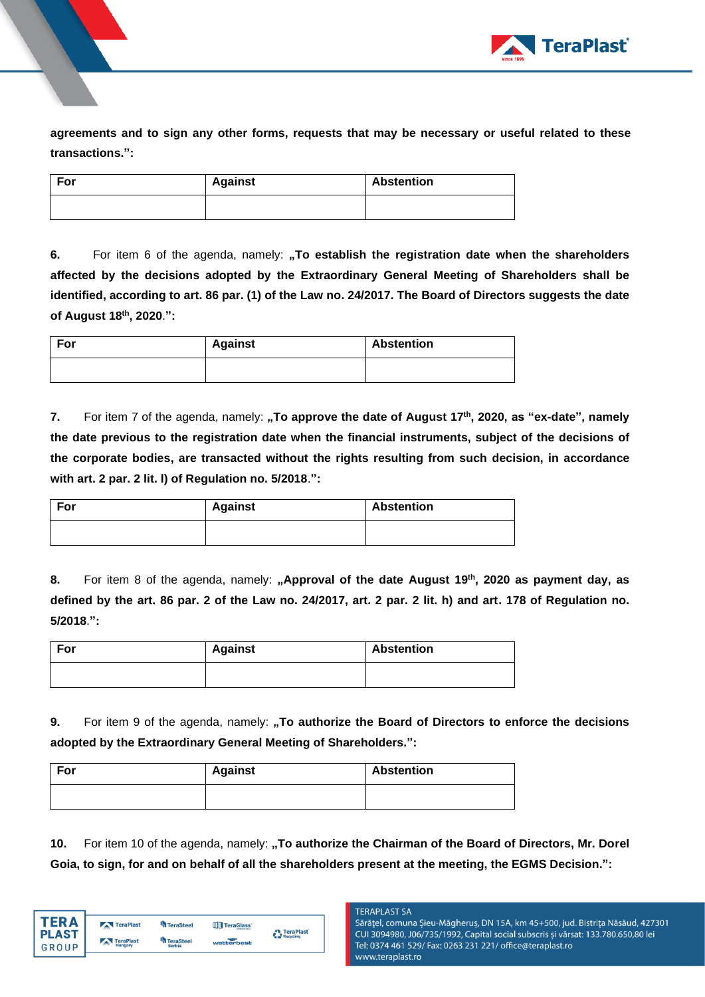

**agreements and to sign any other forms, requests that may be necessary or useful related to these transactions.":**

| For | <b>Against</b> | <b>Abstention</b> |
|-----|----------------|-------------------|
|     |                |                   |

**6.** For item 6 of the agenda, namely: **"To establish the registration date when the shareholders affected by the decisions adopted by the Extraordinary General Meeting of Shareholders shall be identified, according to art. 86 par. (1) of the Law no. 24/2017. The Board of Directors suggests the date of August 18th , 2020**.**":** 

| For | <b>Against</b> | <b>Abstention</b> |
|-----|----------------|-------------------|
|     |                |                   |

**7.** For item 7 of the agenda, namely: **"To approve the date of August 17<sup>th</sup>, 2020, as "ex-date", namely the date previous to the registration date when the financial instruments, subject of the decisions of the corporate bodies, are transacted without the rights resulting from such decision, in accordance with art. 2 par. 2 lit. l) of Regulation no. 5/2018**.**":**

| For | <b>Against</b> | <b>Abstention</b> |
|-----|----------------|-------------------|
|     |                |                   |

**8.** For item 8 of the agenda, namely: **"Approval of the date August 19 th , 2020 as payment day, as defined by the art. 86 par. 2 of the Law no. 24/2017, art. 2 par. 2 lit. h) and art. 178 of Regulation no. 5/2018**.**":**

| For | <b>Against</b> | <b>Abstention</b> |
|-----|----------------|-------------------|
|     |                |                   |

**9.** For item 9 of the agenda, namely: **"To authorize the Board of Directors to enforce the decisions adopted by the Extraordinary General Meeting of Shareholders.":**

| For | <b>Against</b> | <b>Abstention</b> |  |
|-----|----------------|-------------------|--|
|     |                |                   |  |

**10.** For item 10 of the agenda, namely: **"To authorize the Chairman of the Board of Directors, Mr. Dorel Goia, to sign, for and on behalf of all the shareholders present at the meeting, the EGMS Decision.":**

| TFR A        | TeraPlast               | <b>TeraSteel</b> | TeraGlass  | <b>A</b> TeraPlast |
|--------------|-------------------------|------------------|------------|--------------------|
| <b>PLAST</b> | TeraPlast               | <b>TeraSteel</b> |            | Recycling          |
| GROUP        | <b>COLOR</b><br>Hungary | <b>Serbia</b>    | wetterbest |                    |

**TERAPLAST SA** 

Sărățel, comuna Șieu-Măgheruș, DN 15A, km 45+500, jud. Bistrița Năsăud, 427301 CUI 3094980, J06/735/1992, Capital social subscris și vărsat: 133.780.650,80 lei Tel: 0374 461 529/ Fax: 0263 231 221/ office@teraplast.ro www.teraplast.ro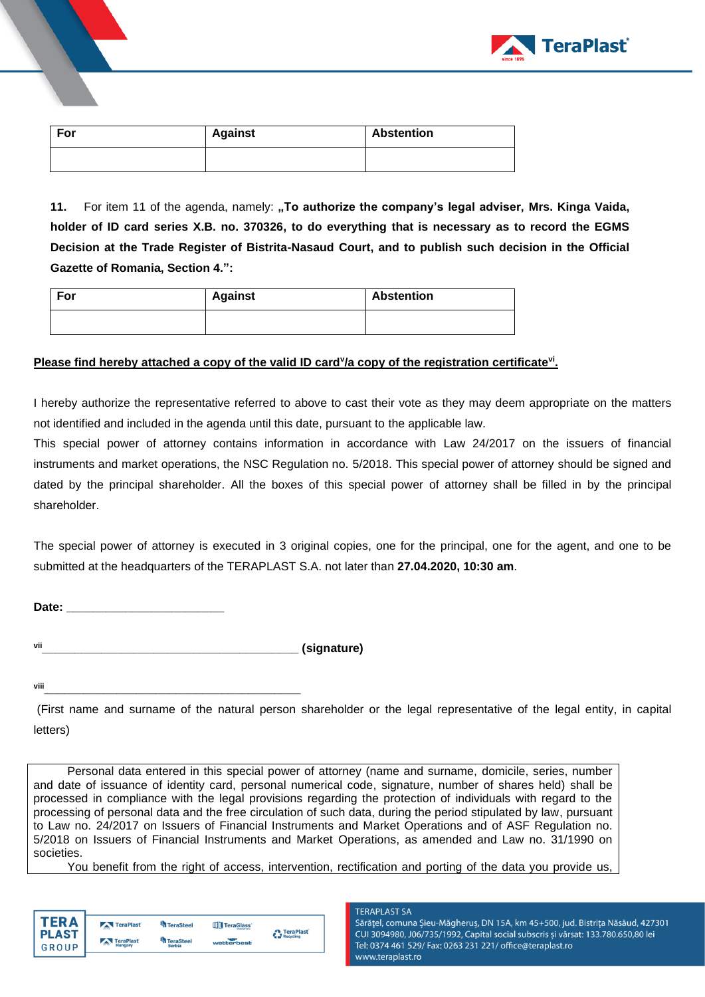

| For | <b>Against</b> | <b>Abstention</b> |
|-----|----------------|-------------------|
|     |                |                   |

**11.** For item 11 of the agenda, namely: **"To authorize the company's legal adviser, Mrs. Kinga Vaida, holder of ID card series X.B. no. 370326, to do everything that is necessary as to record the EGMS Decision at the Trade Register of Bistrita-Nasaud Court, and to publish such decision in the Official Gazette of Romania, Section 4.":**

| For |  | <b>Against</b> | <b>Abstention</b> |  |
|-----|--|----------------|-------------------|--|
|     |  |                |                   |  |

## Please find hereby attached a copy of the valid ID card<sup>y</sup>/a copy of the registration certificate<sup>vi</sup>.

I hereby authorize the representative referred to above to cast their vote as they may deem appropriate on the matters not identified and included in the agenda until this date, pursuant to the applicable law.

This special power of attorney contains information in accordance with Law 24/2017 on the issuers of financial instruments and market operations, the NSC Regulation no. 5/2018. This special power of attorney should be signed and dated by the principal shareholder. All the boxes of this special power of attorney shall be filled in by the principal shareholder.

The special power of attorney is executed in 3 original copies, one for the principal, one for the agent, and one to be submitted at the headquarters of the TERAPLAST S.A. not later than **27.04.2020, 10:30 am**.

**Date: \_\_\_\_\_\_\_\_\_\_\_\_\_\_\_\_\_\_\_\_\_\_\_\_**

**vii\_\_\_\_\_\_\_\_\_\_\_\_\_\_\_\_\_\_\_\_\_\_\_\_\_\_\_\_\_\_\_\_\_\_\_\_\_\_\_ (signature)**

**viii\_\_\_\_\_\_\_\_\_\_\_\_\_\_\_\_\_\_\_\_\_\_\_\_\_\_\_\_\_\_\_\_\_\_\_\_\_\_\_**

(First name and surname of the natural person shareholder or the legal representative of the legal entity, in capital letters)

Personal data entered in this special power of attorney (name and surname, domicile, series, number and date of issuance of identity card, personal numerical code, signature, number of shares held) shall be processed in compliance with the legal provisions regarding the protection of individuals with regard to the processing of personal data and the free circulation of such data, during the period stipulated by law, pursuant to Law no. 24/2017 on Issuers of Financial Instruments and Market Operations and of ASF Regulation no. 5/2018 on Issuers of Financial Instruments and Market Operations, as amended and Law no. 31/1990 on societies.

You benefit from the right of access, intervention, rectification and porting of the data you provide us,

| FRΔ                   | TeraPlast                   | <sup>L</sup> a TeraSteel   | TeraGlass  | <b>A</b> TeraPlast |
|-----------------------|-----------------------------|----------------------------|------------|--------------------|
| <b>PLAST</b><br>GROUP | TeraPlast<br>$-$<br>Hungary | TeraSteel<br><b>Serbia</b> | wetterbest | Recycling          |

**TERAPLAST SA** Sărățel, comuna Șieu-Măgheruș, DN 15A, km 45+500, jud. Bistrița Năsăud, 427301 CUI 3094980, J06/735/1992, Capital social subscris și vărsat: 133.780.650,80 lei Tel: 0374 461 529/ Fax: 0263 231 221/ office@teraplast.ro www.teraplast.ro